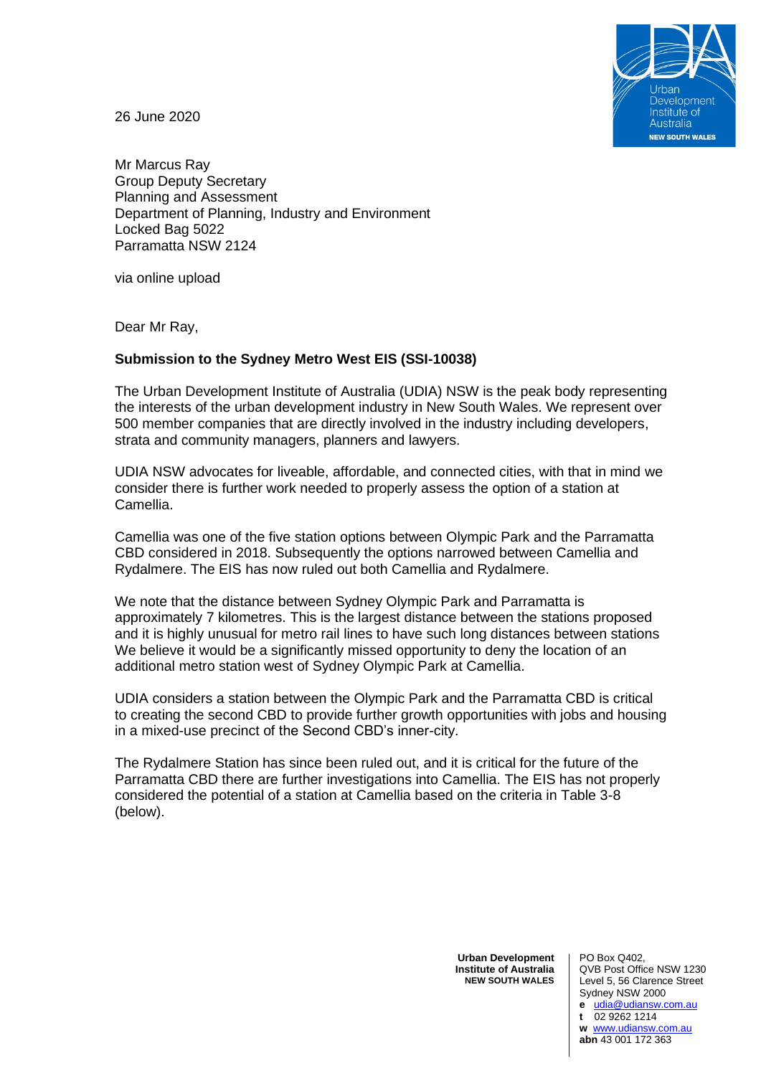

26 June 2020

Mr Marcus Ray Group Deputy Secretary Planning and Assessment Department of Planning, Industry and Environment Locked Bag 5022 Parramatta NSW 2124

via online upload

Dear Mr Ray,

## **Submission to the Sydney Metro West EIS (SSI-10038)**

The Urban Development Institute of Australia (UDIA) NSW is the peak body representing the interests of the urban development industry in New South Wales. We represent over 500 member companies that are directly involved in the industry including developers, strata and community managers, planners and lawyers.

UDIA NSW advocates for liveable, affordable, and connected cities, with that in mind we consider there is further work needed to properly assess the option of a station at Camellia.

Camellia was one of the five station options between Olympic Park and the Parramatta CBD considered in 2018. Subsequently the options narrowed between Camellia and Rydalmere. The EIS has now ruled out both Camellia and Rydalmere.

We note that the distance between Sydney Olympic Park and Parramatta is approximately 7 kilometres. This is the largest distance between the stations proposed and it is highly unusual for metro rail lines to have such long distances between stations We believe it would be a significantly missed opportunity to deny the location of an additional metro station west of Sydney Olympic Park at Camellia.

UDIA considers a station between the Olympic Park and the Parramatta CBD is critical to creating the second CBD to provide further growth opportunities with jobs and housing in a mixed-use precinct of the Second CBD's inner-city.

The Rydalmere Station has since been ruled out, and it is critical for the future of the Parramatta CBD there are further investigations into Camellia. The EIS has not properly considered the potential of a station at Camellia based on the criteria in Table 3-8 (below).

> **Urban Development Institute of Australia NEW SOUTH WALES**

PO Box Q402, QVB Post Office NSW 1230 Level 5, 56 Clarence Street Sydney NSW 2000 **e** [udia@udiansw.com.au](mailto:udia@udiansw.com.au) **t** 02 9262 1214 **w** [www.udiansw.com.au](http://www.udiansw.com.au/) **abn** 43 001 172 363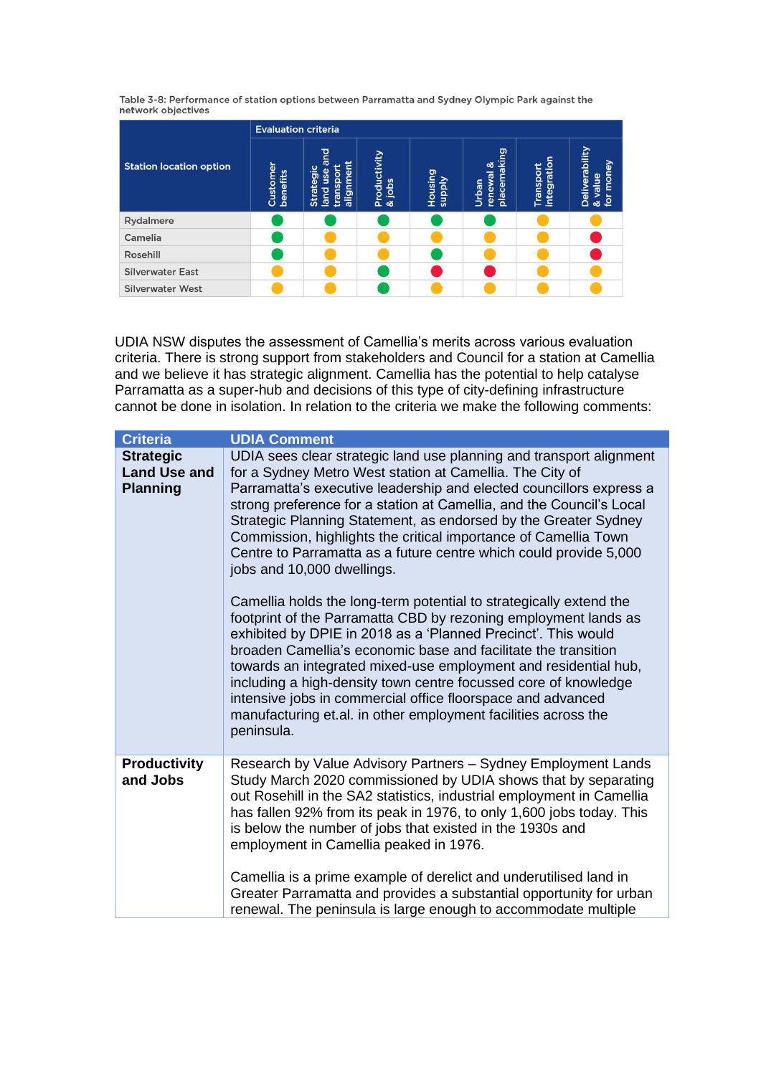Table 3-8: Performance of station options between Parramatta and Sydney Olympic Park against the network objectives

|                                | <b>Evaluation criteria</b> |                                                          |                        |                                 |                                             |                         |                                        |  |
|--------------------------------|----------------------------|----------------------------------------------------------|------------------------|---------------------------------|---------------------------------------------|-------------------------|----------------------------------------|--|
| <b>Station location option</b> | Customer<br>benefits       | and<br>alignment<br>Strategic<br>transpor<br>use<br>land | Productivity<br>& jobs | <b>Housing</b><br><b>Viddns</b> | placemaking<br>య<br>renewal<br><b>Urban</b> | integratio<br>Transport | Deliverability<br>& value<br>for money |  |
| Rydalmere                      |                            |                                                          |                        |                                 |                                             |                         |                                        |  |
| Camelia                        |                            |                                                          |                        |                                 |                                             |                         |                                        |  |
| Rosehill                       |                            |                                                          |                        |                                 |                                             |                         |                                        |  |
| <b>Silverwater East</b>        |                            |                                                          |                        |                                 |                                             |                         |                                        |  |
| <b>Silverwater West</b>        |                            |                                                          |                        |                                 |                                             |                         |                                        |  |

UDIA NSW disputes the assessment of Camellia's merits across various evaluation criteria. There is strong support from stakeholders and Council for a station at Camellia and we believe it has strategic alignment. Camellia has the potential to help catalyse Parramatta as a super-hub and decisions of this type of city-defining infrastructure cannot be done in isolation. In relation to the criteria we make the following comments:

| <b>Criteria</b>                                            | <b>UDIA Comment</b>                                                                                                                                                                                                                                                                                                                                                                                                                                                                                                                                                                                                                                                                                                                                                                                                                                                                                                                                                                                                                                                                      |
|------------------------------------------------------------|------------------------------------------------------------------------------------------------------------------------------------------------------------------------------------------------------------------------------------------------------------------------------------------------------------------------------------------------------------------------------------------------------------------------------------------------------------------------------------------------------------------------------------------------------------------------------------------------------------------------------------------------------------------------------------------------------------------------------------------------------------------------------------------------------------------------------------------------------------------------------------------------------------------------------------------------------------------------------------------------------------------------------------------------------------------------------------------|
| <b>Strategic</b><br><b>Land Use and</b><br><b>Planning</b> | UDIA sees clear strategic land use planning and transport alignment<br>for a Sydney Metro West station at Camellia. The City of<br>Parramatta's executive leadership and elected councillors express a<br>strong preference for a station at Camellia, and the Council's Local<br>Strategic Planning Statement, as endorsed by the Greater Sydney<br>Commission, highlights the critical importance of Camellia Town<br>Centre to Parramatta as a future centre which could provide 5,000<br>jobs and 10,000 dwellings.<br>Camellia holds the long-term potential to strategically extend the<br>footprint of the Parramatta CBD by rezoning employment lands as<br>exhibited by DPIE in 2018 as a 'Planned Precinct'. This would<br>broaden Camellia's economic base and facilitate the transition<br>towards an integrated mixed-use employment and residential hub,<br>including a high-density town centre focussed core of knowledge<br>intensive jobs in commercial office floorspace and advanced<br>manufacturing et.al. in other employment facilities across the<br>peninsula. |
| <b>Productivity</b><br>and Jobs                            | Research by Value Advisory Partners - Sydney Employment Lands<br>Study March 2020 commissioned by UDIA shows that by separating<br>out Rosehill in the SA2 statistics, industrial employment in Camellia<br>has fallen 92% from its peak in 1976, to only 1,600 jobs today. This<br>is below the number of jobs that existed in the 1930s and<br>employment in Camellia peaked in 1976.<br>Camellia is a prime example of derelict and underutilised land in<br>Greater Parramatta and provides a substantial opportunity for urban<br>renewal. The peninsula is large enough to accommodate multiple                                                                                                                                                                                                                                                                                                                                                                                                                                                                                    |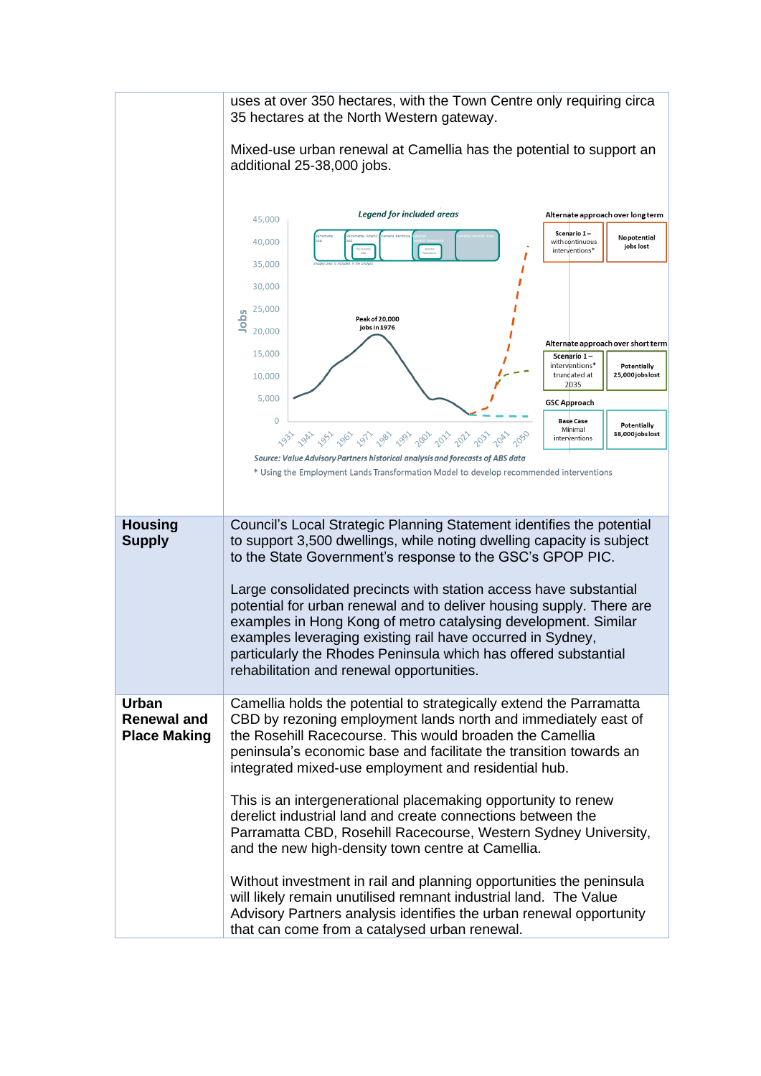|                                                           | uses at over 350 hectares, with the Town Centre only requiring circa<br>35 hectares at the North Western gateway.                                                                                                                                                                                                                                                                                                                                                                                                                                           |                                                                           |  |  |  |  |  |
|-----------------------------------------------------------|-------------------------------------------------------------------------------------------------------------------------------------------------------------------------------------------------------------------------------------------------------------------------------------------------------------------------------------------------------------------------------------------------------------------------------------------------------------------------------------------------------------------------------------------------------------|---------------------------------------------------------------------------|--|--|--|--|--|
|                                                           | Mixed-use urban renewal at Camellia has the potential to support an<br>additional 25-38,000 jobs.                                                                                                                                                                                                                                                                                                                                                                                                                                                           |                                                                           |  |  |  |  |  |
|                                                           |                                                                                                                                                                                                                                                                                                                                                                                                                                                                                                                                                             |                                                                           |  |  |  |  |  |
|                                                           | <b>Legend for included areas</b><br>45,000                                                                                                                                                                                                                                                                                                                                                                                                                                                                                                                  | Alternate approach over long term                                         |  |  |  |  |  |
|                                                           |                                                                                                                                                                                                                                                                                                                                                                                                                                                                                                                                                             | Scenario 1-<br>Nopotential                                                |  |  |  |  |  |
|                                                           | 40,000<br>35,000                                                                                                                                                                                                                                                                                                                                                                                                                                                                                                                                            | with continuous<br>jobs lost<br>interventions*                            |  |  |  |  |  |
|                                                           |                                                                                                                                                                                                                                                                                                                                                                                                                                                                                                                                                             |                                                                           |  |  |  |  |  |
|                                                           | 30,000                                                                                                                                                                                                                                                                                                                                                                                                                                                                                                                                                      |                                                                           |  |  |  |  |  |
|                                                           | 25,000<br>Jobs<br>Peak of 20,000                                                                                                                                                                                                                                                                                                                                                                                                                                                                                                                            |                                                                           |  |  |  |  |  |
|                                                           | jobs in 1976<br>20,000                                                                                                                                                                                                                                                                                                                                                                                                                                                                                                                                      | Alternate approach over short term                                        |  |  |  |  |  |
|                                                           | 15,000                                                                                                                                                                                                                                                                                                                                                                                                                                                                                                                                                      | Scenario 1-                                                               |  |  |  |  |  |
|                                                           | 10,000                                                                                                                                                                                                                                                                                                                                                                                                                                                                                                                                                      | interventions*<br>Potentially<br>truncated at<br>25,000 jobs lost<br>2035 |  |  |  |  |  |
|                                                           | 5,000                                                                                                                                                                                                                                                                                                                                                                                                                                                                                                                                                       | <b>GSC Approach</b>                                                       |  |  |  |  |  |
|                                                           | $\overline{O}$                                                                                                                                                                                                                                                                                                                                                                                                                                                                                                                                              | <b>Base Case</b><br>Potentially                                           |  |  |  |  |  |
|                                                           | Minimal<br>38,000 jobs lost<br>G3, Gh, G3, G6, G1, G8, G9, G0, G7, G1, G3, G4, G2,<br>interventions                                                                                                                                                                                                                                                                                                                                                                                                                                                         |                                                                           |  |  |  |  |  |
|                                                           | Source: Value Advisory Partners historical analysis and forecasts of ABS data<br>* Using the Employment Lands Transformation Model to develop recommended interventions                                                                                                                                                                                                                                                                                                                                                                                     |                                                                           |  |  |  |  |  |
|                                                           |                                                                                                                                                                                                                                                                                                                                                                                                                                                                                                                                                             |                                                                           |  |  |  |  |  |
|                                                           |                                                                                                                                                                                                                                                                                                                                                                                                                                                                                                                                                             |                                                                           |  |  |  |  |  |
| <b>Housing</b><br><b>Supply</b>                           | Council's Local Strategic Planning Statement identifies the potential<br>to support 3,500 dwellings, while noting dwelling capacity is subject<br>to the State Government's response to the GSC's GPOP PIC.<br>Large consolidated precincts with station access have substantial<br>potential for urban renewal and to deliver housing supply. There are<br>examples in Hong Kong of metro catalysing development. Similar<br>examples leveraging existing rail have occurred in Sydney,<br>particularly the Rhodes Peninsula which has offered substantial |                                                                           |  |  |  |  |  |
|                                                           | rehabilitation and renewal opportunities.                                                                                                                                                                                                                                                                                                                                                                                                                                                                                                                   |                                                                           |  |  |  |  |  |
| <b>Urban</b><br><b>Renewal and</b><br><b>Place Making</b> | Camellia holds the potential to strategically extend the Parramatta<br>CBD by rezoning employment lands north and immediately east of<br>the Rosehill Racecourse. This would broaden the Camellia<br>peninsula's economic base and facilitate the transition towards an<br>integrated mixed-use employment and residential hub.                                                                                                                                                                                                                             |                                                                           |  |  |  |  |  |
|                                                           | This is an intergenerational placemaking opportunity to renew<br>derelict industrial land and create connections between the<br>Parramatta CBD, Rosehill Racecourse, Western Sydney University,<br>and the new high-density town centre at Camellia.                                                                                                                                                                                                                                                                                                        |                                                                           |  |  |  |  |  |
|                                                           | Without investment in rail and planning opportunities the peninsula<br>will likely remain unutilised remnant industrial land. The Value<br>Advisory Partners analysis identifies the urban renewal opportunity<br>that can come from a catalysed urban renewal.                                                                                                                                                                                                                                                                                             |                                                                           |  |  |  |  |  |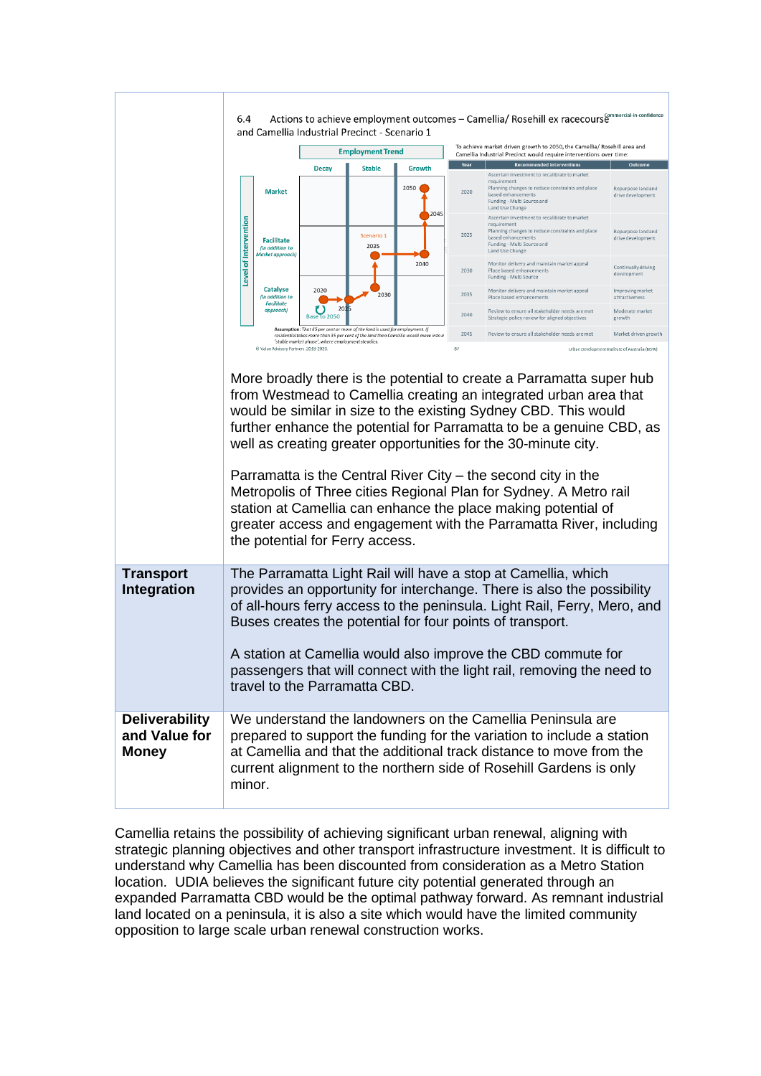|                                                        | 6.4                                                                                                                                                                                                                                                                                                                                                                                                                                                                                                                                                                                                                                                                   |                                                               | and Camellia Industrial Precinct - Scenario 1                               |                    |                                                                                     | Actions to achieve employment outcomes - Camellia/ Rosehill ex racecours <sup>@mmercial-in-confidence</sup>                                        |                                                                                                                                                                                         |                                                |  |  |
|--------------------------------------------------------|-----------------------------------------------------------------------------------------------------------------------------------------------------------------------------------------------------------------------------------------------------------------------------------------------------------------------------------------------------------------------------------------------------------------------------------------------------------------------------------------------------------------------------------------------------------------------------------------------------------------------------------------------------------------------|---------------------------------------------------------------|-----------------------------------------------------------------------------|--------------------|-------------------------------------------------------------------------------------|----------------------------------------------------------------------------------------------------------------------------------------------------|-----------------------------------------------------------------------------------------------------------------------------------------------------------------------------------------|------------------------------------------------|--|--|
|                                                        |                                                                                                                                                                                                                                                                                                                                                                                                                                                                                                                                                                                                                                                                       |                                                               | <b>Employment Trend</b>                                                     |                    |                                                                                     | To achieve market driven growth to 2050, the Camellia/ Rosehill area and<br>Camellia Industrial Precinct would require interventions over time:    |                                                                                                                                                                                         |                                                |  |  |
|                                                        |                                                                                                                                                                                                                                                                                                                                                                                                                                                                                                                                                                                                                                                                       |                                                               | <b>Decay</b><br><b>Stable</b>                                               |                    | Growth                                                                              | Year                                                                                                                                               | <b>Recommended interventions</b><br>Outcome                                                                                                                                             |                                                |  |  |
|                                                        |                                                                                                                                                                                                                                                                                                                                                                                                                                                                                                                                                                                                                                                                       | <b>Market</b>                                                 |                                                                             |                    | 2050                                                                                | 2020                                                                                                                                               | Ascertain investment to recalibrate to market<br>requirement<br>Planning changes to reduce constraints and place<br>based enhancements<br>Funding - Multi Source and<br>Land Use Change | Repurpose land and<br>drive development        |  |  |
|                                                        | Level of Intervention                                                                                                                                                                                                                                                                                                                                                                                                                                                                                                                                                                                                                                                 | <b>Facilitate</b><br>(in addition to<br>Market approach)      |                                                                             | Scenario 1<br>2035 | 2045                                                                                | 2025                                                                                                                                               | Ascertain investment to recalibrate to market<br>requirement<br>Planning changes to reduce constraints and place<br>based enhancements<br>Funding - Multi Source and<br>Land Use Change | Repurpose land and<br>drive development        |  |  |
|                                                        |                                                                                                                                                                                                                                                                                                                                                                                                                                                                                                                                                                                                                                                                       |                                                               |                                                                             |                    | 2040                                                                                | 2030                                                                                                                                               | Monitor delivery and maintain market appeal<br>Place based enhancements<br>Funding - Multi Source                                                                                       | Continually driving<br>development             |  |  |
|                                                        |                                                                                                                                                                                                                                                                                                                                                                                                                                                                                                                                                                                                                                                                       | Catalyse<br>(in addition to<br><b>Facilitate</b><br>approach) | 2020<br>U)<br>20                                                            | 2030               |                                                                                     | 2035                                                                                                                                               | Monitor delivery and maintain market appeal<br>Place based enhancements                                                                                                                 | Improving market<br>attractiveness             |  |  |
|                                                        |                                                                                                                                                                                                                                                                                                                                                                                                                                                                                                                                                                                                                                                                       | Base to 2050                                                  | Assumption: That 65 per cent or more of the land is used for employment. If |                    | 2040<br>2045                                                                        | Review to ensure all stakeholder needs are met<br>Strategic policy review for aligned objectives<br>Review to ensure all stakeholder needs are met | Moderate market<br>growth<br>Market driven growth                                                                                                                                       |                                                |  |  |
|                                                        |                                                                                                                                                                                                                                                                                                                                                                                                                                                                                                                                                                                                                                                                       | C Value Advisory Partners. 2018-2020.                         | 'stable market phase', where employment steadies.                           |                    | residential takes more than 35 per cent of the land then Camellia would move into a | 87                                                                                                                                                 |                                                                                                                                                                                         | Urban Development Institute of Australia (NSW) |  |  |
|                                                        | More broadly there is the potential to create a Parramatta super hub<br>from Westmead to Camellia creating an integrated urban area that<br>would be similar in size to the existing Sydney CBD. This would<br>further enhance the potential for Parramatta to be a genuine CBD, as<br>well as creating greater opportunities for the 30-minute city.<br>Parramatta is the Central River City – the second city in the<br>Metropolis of Three cities Regional Plan for Sydney. A Metro rail<br>station at Camellia can enhance the place making potential of<br>greater access and engagement with the Parramatta River, including<br>the potential for Ferry access. |                                                               |                                                                             |                    |                                                                                     |                                                                                                                                                    |                                                                                                                                                                                         |                                                |  |  |
| <b>Transport</b><br><b>Integration</b>                 | The Parramatta Light Rail will have a stop at Camellia, which<br>provides an opportunity for interchange. There is also the possibility<br>of all-hours ferry access to the peninsula. Light Rail, Ferry, Mero, and<br>Buses creates the potential for four points of transport.<br>A station at Camellia would also improve the CBD commute for<br>passengers that will connect with the light rail, removing the need to<br>travel to the Parramatta CBD.                                                                                                                                                                                                           |                                                               |                                                                             |                    |                                                                                     |                                                                                                                                                    |                                                                                                                                                                                         |                                                |  |  |
| <b>Deliverability</b><br>and Value for<br><b>Money</b> | We understand the landowners on the Camellia Peninsula are<br>prepared to support the funding for the variation to include a station<br>at Camellia and that the additional track distance to move from the<br>current alignment to the northern side of Rosehill Gardens is only<br>minor.                                                                                                                                                                                                                                                                                                                                                                           |                                                               |                                                                             |                    |                                                                                     |                                                                                                                                                    |                                                                                                                                                                                         |                                                |  |  |

Camellia retains the possibility of achieving significant urban renewal, aligning with strategic planning objectives and other transport infrastructure investment. It is difficult to understand why Camellia has been discounted from consideration as a Metro Station location. UDIA believes the significant future city potential generated through an expanded Parramatta CBD would be the optimal pathway forward. As remnant industrial land located on a peninsula, it is also a site which would have the limited community opposition to large scale urban renewal construction works.